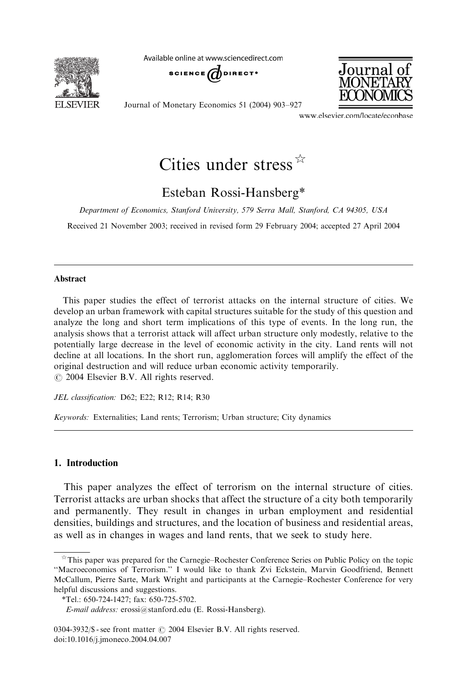**ELSEVIER** 

Available online at www.sciencedirect.com





Journal of Monetary Economics 51 (2004) 903–927

www.elsevier.com/locate/econbase

# Cities under stress  $\mathbb{X}$

Esteban Rossi-Hansberg\*

Department of Economics, Stanford University, 579 Serra Mall, Stanford, CA 94305, USA

Received 21 November 2003; received in revised form 29 February 2004; accepted 27 April 2004

#### Abstract

This paper studies the effect of terrorist attacks on the internal structure of cities. We develop an urban framework with capital structures suitable for the study of this question and analyze the long and short term implications of this type of events. In the long run, the analysis shows that a terrorist attack will affect urban structure only modestly, relative to the potentially large decrease in the level of economic activity in the city. Land rents will not decline at all locations. In the short run, agglomeration forces will amplify the effect of the original destruction and will reduce urban economic activity temporarily.  $\odot$  2004 Elsevier B.V. All rights reserved.

JEL classification: D62; E22; R12; R14; R30

Keywords: Externalities; Land rents; Terrorism; Urban structure; City dynamics

## 1. Introduction

This paper analyzes the effect of terrorism on the internal structure of cities. Terrorist attacks are urban shocks that affect the structure of a city both temporarily and permanently. They result in changes in urban employment and residential densities, buildings and structures, and the location of business and residential areas, as well as in changes in wages and land rents, that we seek to study here.

 $\hat{\tau}$  This paper was prepared for the Carnegie–Rochester Conference Series on Public Policy on the topic ''Macroeconomics of Terrorism.'' I would like to thank Zvi Eckstein, Marvin Goodfriend, Bennett McCallum, Pierre Sarte, Mark Wright and participants at the Carnegie–Rochester Conference for very helpful discussions and suggestions.

<sup>\*</sup>Tel.: 650-724-1427; fax: 650-725-5702.

E-mail address: erossi@stanford.edu (E. Rossi-Hansberg).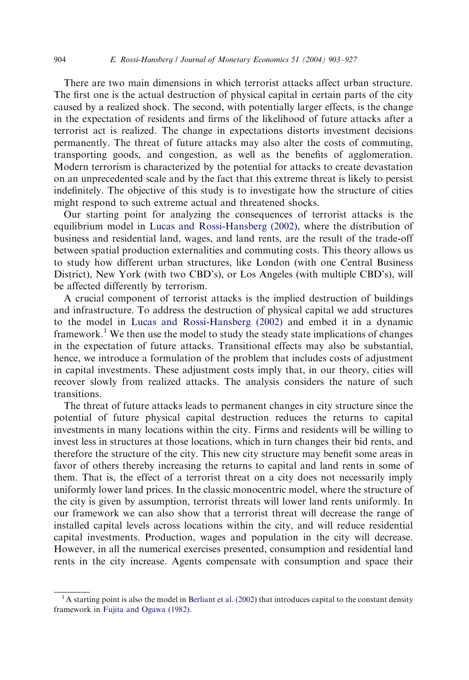There are two main dimensions in which terrorist attacks affect urban structure. The first one is the actual destruction of physical capital in certain parts of the city caused by a realized shock. The second, with potentially larger effects, is the change in the expectation of residents and firms of the likelihood of future attacks after a terrorist act is realized. The change in expectations distorts investment decisions permanently. The threat of future attacks may also alter the costs of commuting, transporting goods, and congestion, as well as the benefits of agglomeration. Modern terrorism is characterized by the potential for attacks to create devastation on an unprecedented scale and by the fact that this extreme threat is likely to persist indefinitely. The objective of this study is to investigate how the structure of cities might respond to such extreme actual and threatened shocks.

Our starting point for analyzing the consequences of terrorist attacks is the equilibrium model in [Lucas and Rossi-Hansberg \(2002\),](#page-24-0) where the distribution of business and residential land, wages, and land rents, are the result of the trade-off between spatial production externalities and commuting costs. This theory allows us to study how different urban structures, like London (with one Central Business District), New York (with two CBD's), or Los Angeles (with multiple CBD's), will be affected differently by terrorism.

A crucial component of terrorist attacks is the implied destruction of buildings and infrastructure. To address the destruction of physical capital we add structures to the model in [Lucas and Rossi-Hansberg \(2002\)](#page-24-0) and embed it in a dynamic framework.<sup>1</sup> We then use the model to study the steady state implications of changes in the expectation of future attacks. Transitional effects may also be substantial, hence, we introduce a formulation of the problem that includes costs of adjustment in capital investments. These adjustment costs imply that, in our theory, cities will recover slowly from realized attacks. The analysis considers the nature of such transitions.

The threat of future attacks leads to permanent changes in city structure since the potential of future physical capital destruction reduces the returns to capital investments in many locations within the city. Firms and residents will be willing to invest less in structures at those locations, which in turn changes their bid rents, and therefore the structure of the city. This new city structure may benefit some areas in favor of others thereby increasing the returns to capital and land rents in some of them. That is, the effect of a terrorist threat on a city does not necessarily imply uniformly lower land prices. In the classic monocentric model, where the structure of the city is given by assumption, terrorist threats will lower land rents uniformly. In our framework we can also show that a terrorist threat will decrease the range of installed capital levels across locations within the city, and will reduce residential capital investments. Production, wages and population in the city will decrease. However, in all the numerical exercises presented, consumption and residential land rents in the city increase. Agents compensate with consumption and space their

<sup>&</sup>lt;sup>1</sup>A starting point is also the model in [Berliant et al. \(2002\)](#page-24-0) that introduces capital to the constant density framework in [Fujita and Ogawa \(1982\)](#page-24-0).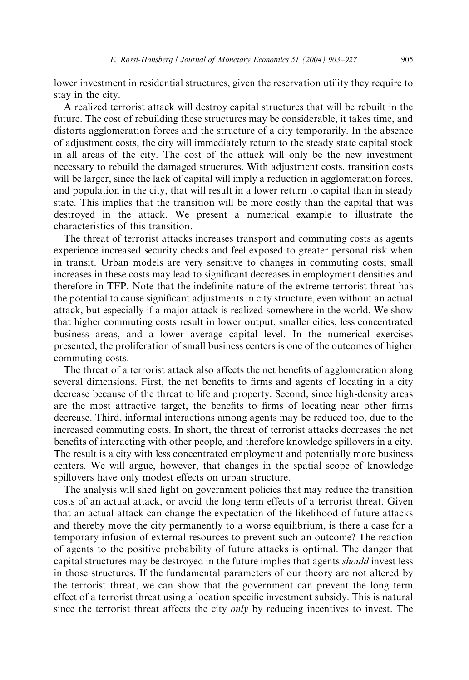lower investment in residential structures, given the reservation utility they require to stay in the city.

A realized terrorist attack will destroy capital structures that will be rebuilt in the future. The cost of rebuilding these structures may be considerable, it takes time, and distorts agglomeration forces and the structure of a city temporarily. In the absence of adjustment costs, the city will immediately return to the steady state capital stock in all areas of the city. The cost of the attack will only be the new investment necessary to rebuild the damaged structures. With adjustment costs, transition costs will be larger, since the lack of capital will imply a reduction in agglomeration forces, and population in the city, that will result in a lower return to capital than in steady state. This implies that the transition will be more costly than the capital that was destroyed in the attack. We present a numerical example to illustrate the characteristics of this transition.

The threat of terrorist attacks increases transport and commuting costs as agents experience increased security checks and feel exposed to greater personal risk when in transit. Urban models are very sensitive to changes in commuting costs; small increases in these costs may lead to significant decreases in employment densities and therefore in TFP. Note that the indefinite nature of the extreme terrorist threat has the potential to cause significant adjustments in city structure, even without an actual attack, but especially if a major attack is realized somewhere in the world. We show that higher commuting costs result in lower output, smaller cities, less concentrated business areas, and a lower average capital level. In the numerical exercises presented, the proliferation of small business centers is one of the outcomes of higher commuting costs.

The threat of a terrorist attack also affects the net benefits of agglomeration along several dimensions. First, the net benefits to firms and agents of locating in a city decrease because of the threat to life and property. Second, since high-density areas are the most attractive target, the benefits to firms of locating near other firms decrease. Third, informal interactions among agents may be reduced too, due to the increased commuting costs. In short, the threat of terrorist attacks decreases the net benefits of interacting with other people, and therefore knowledge spillovers in a city. The result is a city with less concentrated employment and potentially more business centers. We will argue, however, that changes in the spatial scope of knowledge spillovers have only modest effects on urban structure.

The analysis will shed light on government policies that may reduce the transition costs of an actual attack, or avoid the long term effects of a terrorist threat. Given that an actual attack can change the expectation of the likelihood of future attacks and thereby move the city permanently to a worse equilibrium, is there a case for a temporary infusion of external resources to prevent such an outcome? The reaction of agents to the positive probability of future attacks is optimal. The danger that capital structures may be destroyed in the future implies that agents should invest less in those structures. If the fundamental parameters of our theory are not altered by the terrorist threat, we can show that the government can prevent the long term effect of a terrorist threat using a location specific investment subsidy. This is natural since the terrorist threat affects the city *only* by reducing incentives to invest. The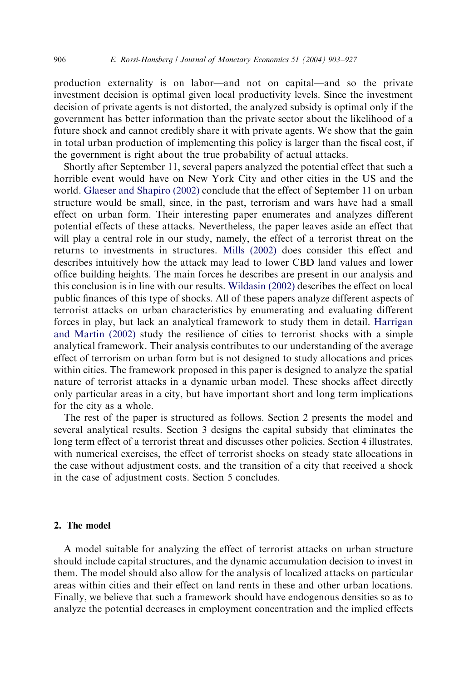production externality is on labor—and not on capital—and so the private investment decision is optimal given local productivity levels. Since the investment decision of private agents is not distorted, the analyzed subsidy is optimal only if the government has better information than the private sector about the likelihood of a future shock and cannot credibly share it with private agents. We show that the gain in total urban production of implementing this policy is larger than the fiscal cost, if the government is right about the true probability of actual attacks.

Shortly after September 11, several papers analyzed the potential effect that such a horrible event would have on New York City and other cities in the US and the world. [Glaeser and Shapiro \(2002\)](#page-24-0) conclude that the effect of September 11 on urban structure would be small, since, in the past, terrorism and wars have had a small effect on urban form. Their interesting paper enumerates and analyzes different potential effects of these attacks. Nevertheless, the paper leaves aside an effect that will play a central role in our study, namely, the effect of a terrorist threat on the returns to investments in structures. [Mills \(2002\)](#page-24-0) does consider this effect and describes intuitively how the attack may lead to lower CBD land values and lower office building heights. The main forces he describes are present in our analysis and this conclusion is in line with our results. [Wildasin \(2002\)](#page-24-0) describes the effect on local public finances of this type of shocks. All of these papers analyze different aspects of terrorist attacks on urban characteristics by enumerating and evaluating different forces in play, but lack an analytical framework to study them in detail. [Harrigan](#page-24-0) [and Martin \(2002\)](#page-24-0) study the resilience of cities to terrorist shocks with a simple analytical framework. Their analysis contributes to our understanding of the average effect of terrorism on urban form but is not designed to study allocations and prices within cities. The framework proposed in this paper is designed to analyze the spatial nature of terrorist attacks in a dynamic urban model. These shocks affect directly only particular areas in a city, but have important short and long term implications for the city as a whole.

The rest of the paper is structured as follows. Section 2 presents the model and several analytical results. Section 3 designs the capital subsidy that eliminates the long term effect of a terrorist threat and discusses other policies. Section 4 illustrates, with numerical exercises, the effect of terrorist shocks on steady state allocations in the case without adjustment costs, and the transition of a city that received a shock in the case of adjustment costs. Section 5 concludes.

### 2. The model

A model suitable for analyzing the effect of terrorist attacks on urban structure should include capital structures, and the dynamic accumulation decision to invest in them. The model should also allow for the analysis of localized attacks on particular areas within cities and their effect on land rents in these and other urban locations. Finally, we believe that such a framework should have endogenous densities so as to analyze the potential decreases in employment concentration and the implied effects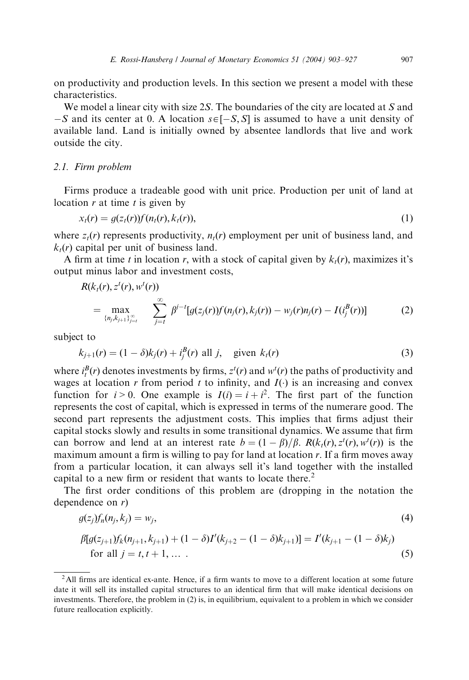on productivity and production levels. In this section we present a model with these characteristics.

We model a linear city with size 2S. The boundaries of the city are located at S and  $-S$  and its center at 0. A location  $s \in [-S, S]$  is assumed to have a unit density of available land. Land is initially owned by absentee landlords that live and work outside the city.

# 2.1. Firm problem

Firms produce a tradeable good with unit price. Production per unit of land at location  $r$  at time  $t$  is given by

$$
x_t(r) = g(z_t(r))f(n_t(r), k_t(r)),
$$
\n(1)

where  $z_t(r)$  represents productivity,  $n_t(r)$  employment per unit of business land, and  $k_t(r)$  capital per unit of business land.

A firm at time t in location r, with a stock of capital given by  $k_t(r)$ , maximizes it's output minus labor and investment costs,

$$
R(k_t(r), z^t(r), w^t(r))
$$
  
= 
$$
\max_{\{n_j, k_{j+1}\}_{j=1}^{\infty}} \sum_{j=t}^{\infty} \beta^{j-t} [g(z_j(r))f(n_j(r), k_j(r)) - w_j(r)n_j(r) - I(i_j^B(r))]
$$
 (2)

subject to

$$
k_{j+1}(r) = (1 - \delta)k_j(r) + i_j^B(r) \text{ all } j, \text{ given } k_i(r)
$$
 (3)

where  $i_t^B(r)$  denotes investments by firms,  $z^t(r)$  and  $w^t(r)$  the paths of productivity and wages at location r from period t to infinity, and  $I(\cdot)$  is an increasing and convex function for  $i > 0$ . One example is  $I(i) = i + i^2$ . The first part of the function represents the cost of capital, which is expressed in terms of the numerare good. The second part represents the adjustment costs. This implies that firms adjust their capital stocks slowly and results in some transitional dynamics. We assume that firm can borrow and lend at an interest rate  $b = (1 - \beta)/\beta$ .  $R(k<sub>t</sub>(r), z<sup>t</sup>(r), w<sup>t</sup>(r))$  is the maximum amount a firm is willing to pay for land at location r. If a firm moves away from a particular location, it can always sell it's land together with the installed capital to a new firm or resident that wants to locate there.<sup>2</sup>

The first order conditions of this problem are (dropping in the notation the dependence on  $r$ )

$$
g(z_j)f_n(n_j,k_j) = w_j,\tag{4}
$$

$$
\beta[g(z_{j+1})f_k(n_{j+1}, k_{j+1}) + (1 - \delta)I'(k_{j+2} - (1 - \delta)k_{j+1})] = I'(k_{j+1} - (1 - \delta)k_j)
$$
  
for all  $j = t, t + 1, ...$  (5)

<sup>&</sup>lt;sup>2</sup>All firms are identical ex-ante. Hence, if a firm wants to move to a different location at some future date it will sell its installed capital structures to an identical firm that will make identical decisions on investments. Therefore, the problem in (2) is, in equilibrium, equivalent to a problem in which we consider future reallocation explicitly.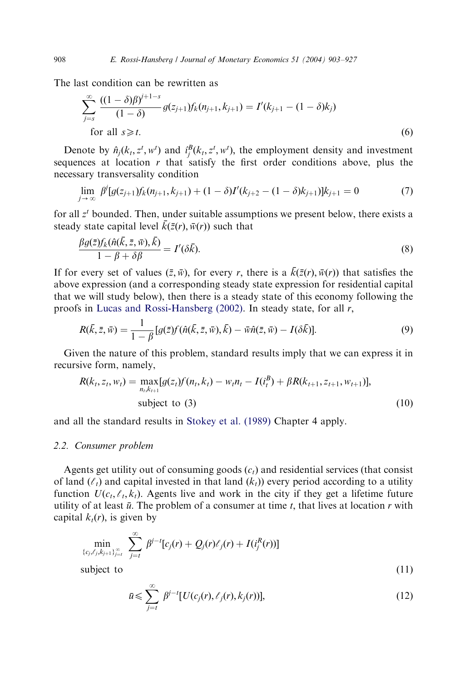The last condition can be rewritten as

$$
\sum_{j=s}^{\infty} \frac{((1-\delta)\beta)^{j+1-s}}{(1-\delta)} g(z_{j+1}) f_k(n_{j+1}, k_{j+1}) = I'(k_{j+1} - (1-\delta)k_j)
$$
  
for all  $s \ge t$ . (6)

Denote by  $\hat{n}_j(k_t, z^t, w^t)$  and  $\hat{i}_j^B(k_t, z^t, w^t)$ , the employment density and investment sequences at location  $r$  that satisfy the first order conditions above, plus the necessary transversality condition

$$
\lim_{j \to \infty} \beta^j [g(z_{j+1}) f_k(n_{j+1}, k_{j+1}) + (1 - \delta) I'(k_{j+2} - (1 - \delta) k_{j+1})] k_{j+1} = 0 \tag{7}
$$

for all  $z<sup>t</sup>$  bounded. Then, under suitable assumptions we present below, there exists a steady state capital level  $\bar{k}(\bar{z}(r), \bar{w}(r))$  such that

$$
\frac{\beta g(\bar{z})f_k(\hat{n}(\bar{k},\bar{z},\bar{w}),\bar{k})}{1-\beta+\delta\beta} = I'(\delta\bar{k}).
$$
\n(8)

If for every set of values  $(\bar{z},\bar{w})$ , for every r, there is a  $\bar{k}(\bar{z}(r),\bar{w}(r))$  that satisfies the above expression (and a corresponding steady state expression for residential capital that we will study below), then there is a steady state of this economy following the proofs in [Lucas and Rossi-Hansberg \(2002\)](#page-24-0). In steady state, for all r;

$$
R(\bar{k},\bar{z},\bar{w}) = \frac{1}{1-\beta} \left[ g(\bar{z}) f(\hat{n}(\bar{k},\bar{z},\bar{w}),\bar{k}) - \bar{w}\hat{n}(\bar{z},\bar{w}) - I(\delta\bar{k}) \right]. \tag{9}
$$

Given the nature of this problem, standard results imply that we can express it in recursive form, namely,

$$
R(k_t, z_t, w_t) = \max_{n_t, k_{t+1}} [g(z_t)f(n_t, k_t) - w_t n_t - I(i_t^B) + \beta R(k_{t+1}, z_{t+1}, w_{t+1})],
$$
  
subject to (3) (10)

and all the standard results in [Stokey et al. \(1989\)](#page-24-0) Chapter 4 apply.

#### 2.2. Consumer problem

Agents get utility out of consuming goods  $(c<sub>t</sub>)$  and residential services (that consist of land  $(\ell_t)$  and capital invested in that land  $(k_t)$ ) every period according to a utility function  $U(c_t, \ell_t, k_t)$ . Agents live and work in the city if they get a lifetime future utility of at least  $\bar{u}$ . The problem of a consumer at time t, that lives at location r with capital  $k_t(r)$ , is given by

$$
\min_{\{c_j,\ell_j,k_{j+1}\}_{j=1}^\infty} \sum_{j=t}^\infty \beta^{j-t} [c_j(r) + Q_j(r) \ell_j(r) + I(i_j^R(r))]
$$

subject to  $(11)$ 

$$
\bar{u} \leq \sum_{j=t}^{\infty} \beta^{j-t} [U(c_j(r), \ell_j(r), k_j(r))], \tag{12}
$$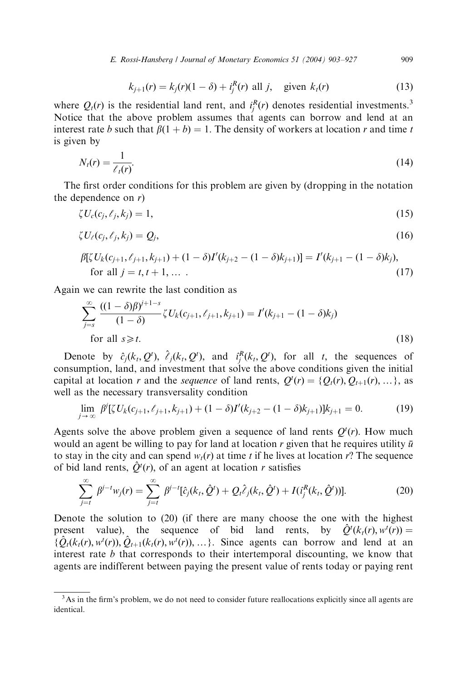E. Rossi-Hansberg / Journal of Monetary Economics 51 (2004) 903–927 909

$$
k_{j+1}(r) = k_j(r)(1 - \delta) + i_j^R(r)
$$
 all j, given  $k_t(r)$  (13)

where  $Q_i(r)$  is the residential land rent, and  $i_j^R(r)$  denotes residential investments.<sup>3</sup> Notice that the above problem assumes that agents can borrow and lend at an interest rate b such that  $\beta(1 + b) = 1$ . The density of workers at location r and time t is given by

$$
N_t(r) = \frac{1}{\ell_t(r)}.\tag{14}
$$

The first order conditions for this problem are given by (dropping in the notation the dependence on  $r$ )

$$
\zeta U_c(c_j,\ell_j,k_j) = 1,\tag{15}
$$

$$
\zeta U_{\ell}(c_j,\ell_j,k_j)=Q_j,\tag{16}
$$

$$
\beta[\zeta U_k(c_{j+1}, \ell_{j+1}, k_{j+1}) + (1 - \delta)I'(k_{j+2} - (1 - \delta)k_{j+1})] = I'(k_{j+1} - (1 - \delta)k_j),
$$
  
for all  $j = t, t + 1, ...$  (17)

Again we can rewrite the last condition as

$$
\sum_{j=s}^{\infty} \frac{((1-\delta)\beta)^{j+1-s}}{(1-\delta)} \zeta U_k(c_{j+1}, \ell_{j+1}, k_{j+1}) = I'(k_{j+1} - (1-\delta)k_j)
$$
  
for all  $s \ge t$ . (18)

Denote by  $\hat{c}_j(k_t, Q^t)$ ,  $\hat{\ell}_j(k_t, Q^t)$ , and  $\hat{i}_j^R(k_t, Q^t)$ , for all t, the sequences of consumption, land, and investment that solve the above conditions given the initial capital at location r and the sequence of land rents,  $Q^{t}(r) = \{Q_{t}(r), Q_{t+1}(r), \ldots\}$ , as well as the necessary transversality condition

$$
\lim_{j \to \infty} \beta^j [\zeta U_k(c_{j+1}, \ell_{j+1}, k_{j+1}) + (1 - \delta) I'(k_{j+2} - (1 - \delta)k_{j+1})] k_{j+1} = 0.
$$
 (19)

Agents solve the above problem given a sequence of land rents  $Q'(r)$ . How much would an agent be willing to pay for land at location r given that he requires utility  $\bar{u}$ to stay in the city and can spend  $w<sub>t</sub>(r)$  at time t if he lives at location r? The sequence of bid land rents,  $\hat{Q}^{t}(r)$ , of an agent at location r satisfies

$$
\sum_{j=t}^{\infty} \beta^{j-t} w_j(r) = \sum_{j=t}^{\infty} \beta^{j-t} [\hat{c}_j(k_t, \hat{Q}^t) + Q_t \hat{\ell}_j(k_t, \hat{Q}^t) + I(\hat{\iota}_j^R(k_t, \hat{Q}^t))].
$$
\n(20)

Denote the solution to (20) (if there are many choose the one with the highest present value), the sequence of bid land rents,  $(k_t(r), w^t(r)) =$  $\{\hat{Q}_t(k_t(r), w^t(r)), \hat{Q}_{t+1}(k_t(r), w^t(r)), \ldots\}$ . Since agents can borrow and lend at an interest rate  $b$  that corresponds to their intertemporal discounting, we know that agents are indifferent between paying the present value of rents today or paying rent

<sup>&</sup>lt;sup>3</sup>As in the firm's problem, we do not need to consider future reallocations explicitly since all agents are identical.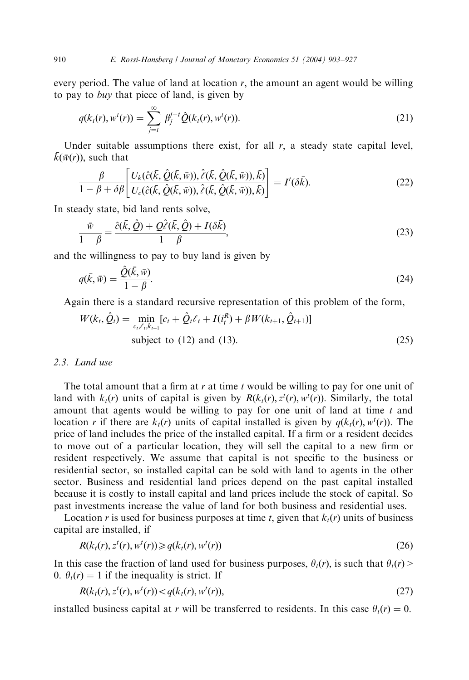every period. The value of land at location  $r$ , the amount an agent would be willing to pay to buy that piece of land, is given by

$$
q(k_t(r), w^t(r)) = \sum_{j=t}^{\infty} \beta_j^{j-t} \hat{Q}(k_t(r), w^t(r)).
$$
\n(21)

Under suitable assumptions there exist, for all  $r$ , a steady state capital level,  $\bar{k}(\bar{w}(r))$ , such that

$$
\frac{\beta}{1-\beta+\delta\beta} \left[ \frac{U_k(\hat{c}(\bar{k},\hat{Q}(\bar{k},\bar{w})),\hat{\ell}(\bar{k},\hat{Q}(\bar{k},\bar{w})),\bar{k})}{U_c(\hat{c}(\bar{k},\hat{Q}(\bar{k},\bar{w})),\hat{\ell}(\bar{k},\hat{Q}(\bar{k},\bar{w})),\bar{k})} \right] = I'(\delta\bar{k}).
$$
\n(22)

In steady state, bid land rents solve,

$$
\frac{\bar{w}}{1-\beta} = \frac{\hat{c}(\bar{k}, \hat{Q}) + Q\hat{\ell}(\bar{k}, \hat{Q}) + I(\delta \bar{k})}{1-\beta},
$$
\n(23)

and the willingness to pay to buy land is given by

$$
q(\bar{k}, \bar{w}) = \frac{\hat{Q}(\bar{k}, \bar{w})}{1 - \beta}.
$$
\n(24)

Again there is a standard recursive representation of this problem of the form,

$$
W(k_t, \hat{Q}_t) = \min_{c_t, \ell_t, k_{t+1}} [c_t + \hat{Q}_t \ell_t + I(i_t^R) + \beta W(k_{t+1}, \hat{Q}_{t+1})]
$$
  
subject to (12) and (13). (25)

# 2.3. Land use

The total amount that a firm at r at time t would be willing to pay for one unit of land with  $k_t(r)$  units of capital is given by  $R(k_t(r), z^t(r), w^t(r))$ . Similarly, the total amount that agents would be willing to pay for one unit of land at time  $t$  and location r if there are  $k_t(r)$  units of capital installed is given by  $q(k_t(r), w^t(r))$ . The price of land includes the price of the installed capital. If a firm or a resident decides to move out of a particular location, they will sell the capital to a new firm or resident respectively. We assume that capital is not specific to the business or residential sector, so installed capital can be sold with land to agents in the other sector. Business and residential land prices depend on the past capital installed because it is costly to install capital and land prices include the stock of capital. So past investments increase the value of land for both business and residential uses.

Location r is used for business purposes at time t, given that  $k_t(r)$  units of business capital are installed, if

$$
R(kt(r), zt(r), wt(r)) \geq q(kt(r), wt(r))
$$
\n(26)

In this case the fraction of land used for business purposes,  $\theta_t(r)$ , is such that  $\theta_t(r)$ 0.  $\theta_t(r) = 1$  if the inequality is strict. If

$$
R(kt(r), zt(r), wt(r)) < q(kt(r), wt(r)),
$$
\n(27)

installed business capital at r will be transferred to residents. In this case  $\theta_t(r) = 0$ .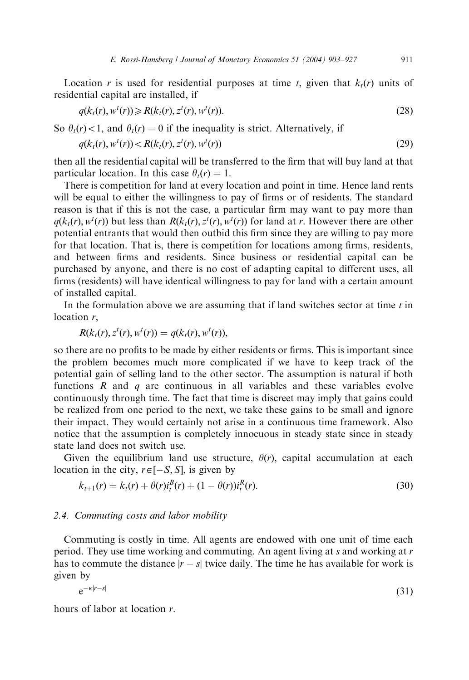Location r is used for residential purposes at time t, given that  $k_t(r)$  units of residential capital are installed, if

$$
q(k_t(r), w^t(r)) \ge R(k_t(r), z^t(r), w^t(r)).
$$
\n(28)

So  $\theta_t(r)$  < 1, and  $\theta_t(r) = 0$  if the inequality is strict. Alternatively, if

$$
q(kt(r), wt(r)) < R(kt(r), zt(r), wt(r))
$$
\n(29)

then all the residential capital will be transferred to the firm that will buy land at that particular location. In this case  $\theta_t(r) = 1$ .

There is competition for land at every location and point in time. Hence land rents will be equal to either the willingness to pay of firms or of residents. The standard reason is that if this is not the case, a particular firm may want to pay more than  $q(k_t(r), w^t(r))$  but less than  $R(k_t(r), z^t(r), w^t(r))$  for land at r. However there are other potential entrants that would then outbid this firm since they are willing to pay more for that location. That is, there is competition for locations among firms, residents, and between firms and residents. Since business or residential capital can be purchased by anyone, and there is no cost of adapting capital to different uses, all firms (residents) will have identical willingness to pay for land with a certain amount of installed capital.

In the formulation above we are assuming that if land switches sector at time  $t$  in location r.

$$
R(kt(r), zt(r), wt(r)) = q(kt(r), wt(r)),
$$

so there are no profits to be made by either residents or firms. This is important since the problem becomes much more complicated if we have to keep track of the potential gain of selling land to the other sector. The assumption is natural if both functions  $R$  and  $q$  are continuous in all variables and these variables evolve continuously through time. The fact that time is discreet may imply that gains could be realized from one period to the next, we take these gains to be small and ignore their impact. They would certainly not arise in a continuous time framework. Also notice that the assumption is completely innocuous in steady state since in steady state land does not switch use.

Given the equilibrium land use structure,  $\theta(r)$ , capital accumulation at each location in the city,  $r \in [-S, S]$ , is given by

$$
k_{t+1}(r) = k_t(r) + \theta(r)i_t^B(r) + (1 - \theta(r))i_t^B(r).
$$
\n(30)

#### 2.4. Commuting costs and labor mobility

Commuting is costly in time. All agents are endowed with one unit of time each period. They use time working and commuting. An agent living at  $s$  and working at  $r$ has to commute the distance  $|r - s|$  twice daily. The time he has available for work is given by

$$
e^{-\kappa|r-s|}\tag{31}
$$

hours of labor at location r: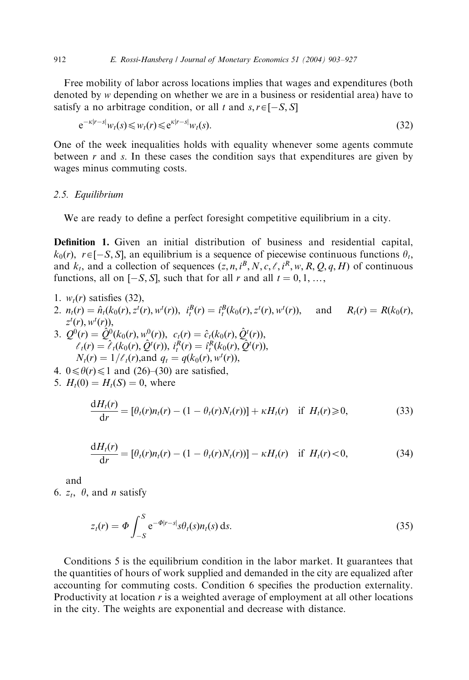Free mobility of labor across locations implies that wages and expenditures (both denoted by w depending on whether we are in a business or residential area) have to satisfy a no arbitrage condition, or all t and  $s, r \in [-S, S]$ 

$$
e^{-\kappa|r-s|}w_t(s) \leq w_t(r) \leq e^{\kappa|r-s|}w_t(s). \tag{32}
$$

One of the week inequalities holds with equality whenever some agents commute between  $r$  and  $s$ . In these cases the condition says that expenditures are given by wages minus commuting costs.

#### 2.5. Equilibrium

We are ready to define a perfect foresight competitive equilibrium in a city.

Definition 1. Given an initial distribution of business and residential capital,  $k_0(r)$ ,  $r \in [-S, S]$ , an equilibrium is a sequence of piecewise continuous functions  $\theta_t$ , and  $k_t$ , and a collection of sequences  $(z, n, i^B, N, c, \ell, i^R, w, R, Q, q, H)$  of continuous functions, all on  $[-S, S]$ , such that for all r and all  $t = 0, 1, ...,$ 

\n- 1. 
$$
w_t(r)
$$
 satisfies (32),
\n- 2.  $n_t(r) = \hat{n}_t(k_0(r), z^t(r), w^t(r)), \quad i_t^B(r) = i_t^B(k_0(r), z^t(r), w^t(r)),$  and  $R_t(r) = R(k_0(r), z^t(r), w^t(r)),$
\n- 3.  $Q^0(r) = \hat{Q}^0(k_0(r), w^0(r)), \quad c_t(r) = \hat{c}_t(k_0(r), \hat{Q}^t(r)),$
\n- $\ell_t(r) = \hat{\ell}_t(k_0(r), \hat{Q}^t(r)), \quad i_t^B(r) = i_t^B(k_0(r), \hat{Q}^t(r)),$
\n- $N_t(r) = 1/\ell_t(r)$ , and  $q_t = q(k_0(r), w^t(r))$ ,
\n- 4.  $0 < \theta(r) < 1$  and (26). (30) are satisfied
\n

- 4.  $0 \leq \theta(r) \leq 1$  and (26)–(30) are satisfied,
- 5.  $H_t(0) = H_t(S) = 0$ , where

$$
\frac{dH_t(r)}{dr} = [\theta_t(r)n_t(r) - (1 - \theta_t(r)N_t(r))] + \kappa H_t(r) \quad \text{if } H_t(r) \ge 0,
$$
\n(33)

$$
\frac{dH_t(r)}{dr} = [\theta_t(r)n_t(r) - (1 - \theta_t(r)N_t(r))] - \kappa H_t(r) \quad \text{if } H_t(r) < 0,
$$
\n(34)

and

6.  $z_t$ ,  $\theta$ , and *n* satisfy

$$
z_t(r) = \Phi \int_{-S}^{S} e^{-\Phi|r-s|} s\theta_t(s) n_t(s) ds.
$$
\n(35)

Conditions 5 is the equilibrium condition in the labor market. It guarantees that the quantities of hours of work supplied and demanded in the city are equalized after accounting for commuting costs. Condition 6 specifies the production externality. Productivity at location  $r$  is a weighted average of employment at all other locations in the city. The weights are exponential and decrease with distance.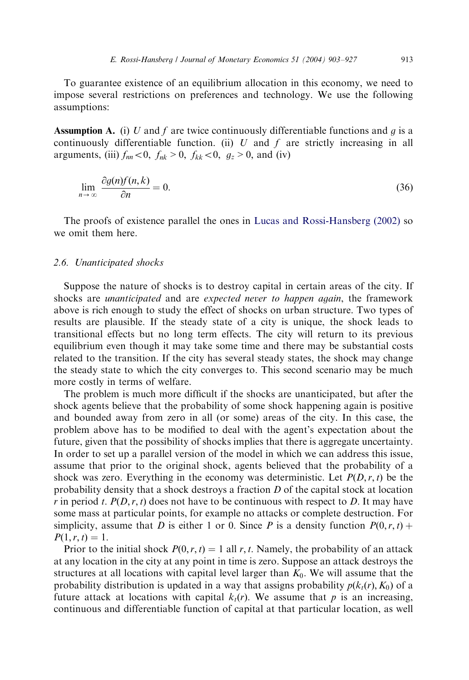To guarantee existence of an equilibrium allocation in this economy, we need to impose several restrictions on preferences and technology. We use the following assumptions:

**Assumption A.** (i) U and f are twice continuously differentiable functions and q is a continuously differentiable function. (ii)  $U$  and  $f$  are strictly increasing in all arguments, (iii)  $f_{nn} < 0$ ,  $f_{nk} > 0$ ,  $f_{kk} < 0$ ,  $g_z > 0$ , and (iv)

$$
\lim_{n \to \infty} \frac{\partial g(n)f(n,k)}{\partial n} = 0.
$$
\n(36)

The proofs of existence parallel the ones in [Lucas and Rossi-Hansberg \(2002\)](#page-24-0) so we omit them here.

#### 2.6. Unanticipated shocks

Suppose the nature of shocks is to destroy capital in certain areas of the city. If shocks are *unanticipated* and are *expected never to happen again*, the framework above is rich enough to study the effect of shocks on urban structure. Two types of results are plausible. If the steady state of a city is unique, the shock leads to transitional effects but no long term effects. The city will return to its previous equilibrium even though it may take some time and there may be substantial costs related to the transition. If the city has several steady states, the shock may change the steady state to which the city converges to. This second scenario may be much more costly in terms of welfare.

The problem is much more difficult if the shocks are unanticipated, but after the shock agents believe that the probability of some shock happening again is positive and bounded away from zero in all (or some) areas of the city. In this case, the problem above has to be modified to deal with the agent's expectation about the future, given that the possibility of shocks implies that there is aggregate uncertainty. In order to set up a parallel version of the model in which we can address this issue, assume that prior to the original shock, agents believed that the probability of a shock was zero. Everything in the economy was deterministic. Let  $P(D, r, t)$  be the probability density that a shock destroys a fraction  $D$  of the capital stock at location r in period t.  $P(D, r, t)$  does not have to be continuous with respect to D. It may have some mass at particular points, for example no attacks or complete destruction. For simplicity, assume that D is either 1 or 0. Since P is a density function  $P(0, r, t)$  +  $P(1, r, t) = 1.$ 

Prior to the initial shock  $P(0, r, t) = 1$  all r, t. Namely, the probability of an attack at any location in the city at any point in time is zero. Suppose an attack destroys the structures at all locations with capital level larger than  $K_0$ . We will assume that the probability distribution is updated in a way that assigns probability  $p(k<sub>1</sub>(r), K<sub>0</sub>)$  of a future attack at locations with capital  $k_t(r)$ . We assume that p is an increasing, continuous and differentiable function of capital at that particular location, as well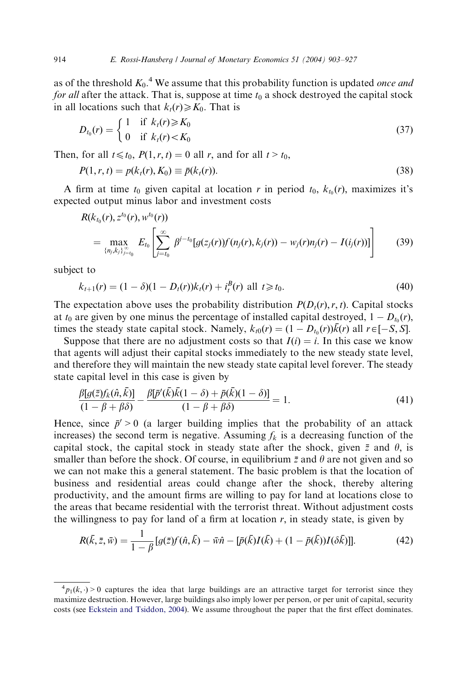as of the threshold  $K_0$ .<sup>4</sup> We assume that this probability function is updated *once and* for all after the attack. That is, suppose at time  $t_0$  a shock destroyed the capital stock in all locations such that  $k_t(r) \ge K_0$ . That is

$$
D_{t_0}(r) = \begin{cases} 1 & \text{if } k_t(r) \ge K_0 \\ 0 & \text{if } k_t(r) < K_0 \end{cases}
$$
 (37)

Then, for all  $t \leq t_0$ ,  $P(1, r, t) = 0$  all r, and for all  $t > t_0$ ,

$$
P(1, r, t) = p(kt(r), K0) \equiv \bar{p}(kt(r)).
$$
\n(38)

A firm at time  $t_0$  given capital at location r in period  $t_0$ ,  $k_{t_0}(r)$ , maximizes it's expected output minus labor and investment costs

$$
R(k_{t_0}(r), z^{t_0}(r), w^{t_0}(r))
$$
  
= 
$$
\max_{\{n_j, k_j\}_{j=t_0}^{\infty}} E_{t_0} \left[ \sum_{j=t_0}^{\infty} \beta^{j-t_0} [g(z_j(r))f(n_j(r), k_j(r)) - w_j(r)n_j(r) - I(i_j(r))] \right]
$$
(39)

subject to

$$
k_{t+1}(r) = (1 - \delta)(1 - D_t(r))k_t(r) + i_t^B(r) \text{ all } t \ge t_0.
$$
\n(40)

The expectation above uses the probability distribution  $P(D_t(r), r, t)$ . Capital stocks at  $t_0$  are given by one minus the percentage of installed capital destroyed,  $1 - D_{t_0}(r)$ , times the steady state capital stock. Namely,  $k_{0}(r) = (1 - D_{t_0}(r))\overline{k}(r)$  all  $r \in [-S, S]$ .

Suppose that there are no adjustment costs so that  $I(i) = i$ . In this case we know that agents will adjust their capital stocks immediately to the new steady state level, and therefore they will maintain the new steady state capital level forever. The steady state capital level in this case is given by

$$
\frac{\beta[g(\bar{z})f_k(\hat{n},\bar{k})]}{(1-\beta+\beta\delta)} - \frac{\beta[\bar{p}'(\bar{k})\bar{k}(1-\delta)+\bar{p}(\bar{k})(1-\delta)]}{(1-\beta+\beta\delta)} = 1.
$$
\n(41)

Hence, since  $\bar{p}' > 0$  (a larger building implies that the probability of an attack increases) the second term is negative. Assuming  $f_k$  is a decreasing function of the capital stock, the capital stock in steady state after the shock, given  $\bar{z}$  and  $\theta$ , is smaller than before the shock. Of course, in equilibrium  $\bar{z}$  and  $\theta$  are not given and so we can not make this a general statement. The basic problem is that the location of business and residential areas could change after the shock, thereby altering productivity, and the amount firms are willing to pay for land at locations close to the areas that became residential with the terrorist threat. Without adjustment costs the willingness to pay for land of a firm at location  $r$ , in steady state, is given by

$$
R(\bar{k}, \bar{z}, \bar{w}) = \frac{1}{1 - \beta} [g(\bar{z}) f(\hat{n}, \bar{k}) - \bar{w}\hat{n} - [\bar{p}(\bar{k}) I(\bar{k}) + (1 - \bar{p}(\bar{k})) I(\delta \bar{k})]]. \tag{42}
$$

 ${}^4p_1(k, \cdot) > 0$  captures the idea that large buildings are an attractive target for terrorist since they maximize destruction. However, large buildings also imply lower per person, or per unit of capital, security costs (see [Eckstein and Tsiddon, 2004](#page-24-0)). We assume throughout the paper that the first effect dominates.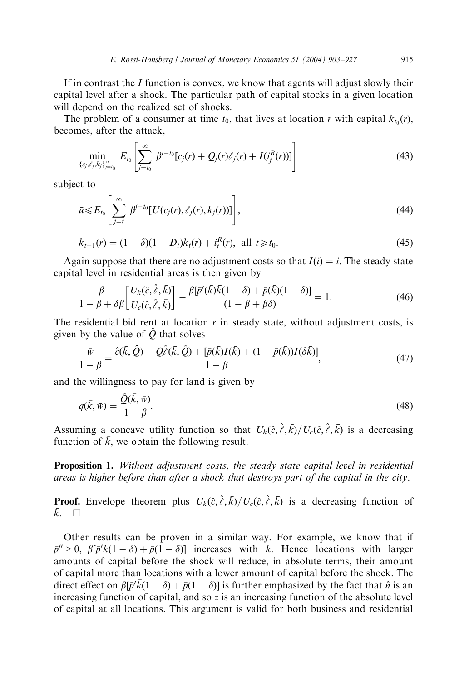If in contrast the I function is convex, we know that agents will adjust slowly their capital level after a shock. The particular path of capital stocks in a given location will depend on the realized set of shocks.

The problem of a consumer at time  $t_0$ , that lives at location r with capital  $k_{t_0}(r)$ , becomes, after the attack,

$$
\min_{\{c_j,\ell_j,k_j\}_{j= t_0}^\infty} E_{t_0} \left[ \sum_{j=t_0}^\infty \beta^{j-t_0} [c_j(r) + Q_j(r)\ell_j(r) + I(i_j^R(r))] \right]
$$
\n(43)

subject to

$$
\bar{u} \leqslant E_{t_0} \left[ \sum_{j=t}^{\infty} \beta^{j-t_0} \left[ U(c_j(r), \ell_j(r), k_j(r)) \right] \right], \tag{44}
$$

$$
k_{t+1}(r) = (1 - \delta)(1 - D_t)k_t(r) + i_t^R(r), \text{ all } t \ge t_0.
$$
\n
$$
(45)
$$

Again suppose that there are no adjustment costs so that  $I(i) = i$ . The steady state capital level in residential areas is then given by

$$
\frac{\beta}{1 - \beta + \delta \beta} \left[ \frac{U_k(\hat{c}, \hat{\ell}, \bar{k})}{U_c(\hat{c}, \hat{\ell}, \bar{k})} \right] - \frac{\beta [\bar{p}'(\bar{k})\bar{k}(1 - \delta) + \bar{p}(\bar{k})(1 - \delta)]}{(1 - \beta + \beta \delta)} = 1.
$$
\n(46)

The residential bid rent at location  $r$  in steady state, without adjustment costs, is given by the value of  $\hat{Q}$  that solves

$$
\frac{\bar{w}}{1-\beta} = \frac{\hat{c}(\bar{k},\hat{Q}) + Q\hat{c}(\bar{k},\hat{Q}) + [\bar{p}(\bar{k})I(\bar{k}) + (1-\bar{p}(\bar{k}))I(\delta\bar{k})]}{1-\beta},\tag{47}
$$

and the willingness to pay for land is given by

$$
q(\bar{k}, \bar{w}) = \frac{\hat{Q}(\bar{k}, \bar{w})}{1 - \beta}.
$$
\n(48)

Assuming a concave utility function so that  $U_k(\hat{c}, \hat{\ell}, \bar{k})/U_c(\hat{c}, \hat{\ell}, \bar{k})$  is a decreasing function of  $\bar{k}$ , we obtain the following result.

Proposition 1. Without adjustment costs, the steady state capital level in residential areas is higher before than after a shock that destroys part of the capital in the city.

**Proof.** Envelope theorem plus  $U_k(\hat{c}, \hat{\ell}, \bar{k})/U_c(\hat{c}, \hat{\ell}, \bar{k})$  is a decreasing function of  $\bar{k}$   $\Box$ 

Other results can be proven in a similar way. For example, we know that if  $\bar{p}'' > 0$ ,  $\beta[\bar{p}'\bar{k}(1-\delta) + \bar{p}(1-\delta)]$  increases with  $\bar{k}$ . Hence locations with larger amounts of capital before the shock will reduce, in absolute terms, their amount of capital more than locations with a lower amount of capital before the shock. The direct effect on  $\beta[\bar{p}'\bar{k}(1-\delta)+\bar{p}(1-\delta)]$  is further emphasized by the fact that  $\hat{n}$  is an increasing function of capital, and so z is an increasing function of the absolute level of capital at all locations. This argument is valid for both business and residential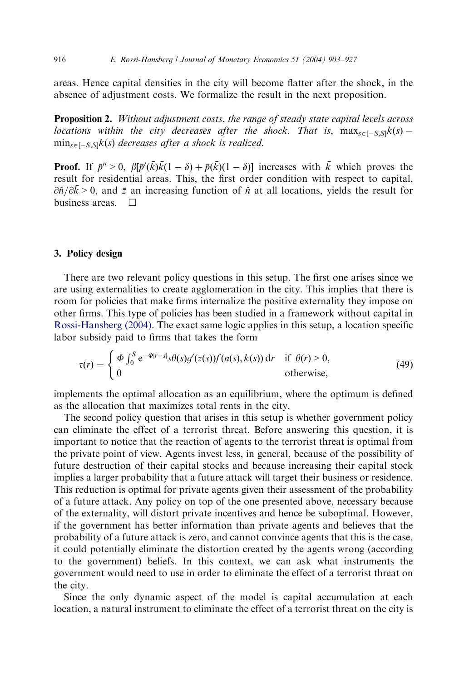areas. Hence capital densities in the city will become flatter after the shock, in the absence of adjustment costs. We formalize the result in the next proposition.

**Proposition 2.** Without adjustment costs, the range of steady state capital levels across locations within the city decreases after the shock. That is,  $\max_{s\in[-S,S]}k(s)$  –  $\min_{s \in [-S,S]} k(s)$  decreases after a shock is realized.

**Proof.** If  $\bar{p}'' > 0$ ,  $\beta[\bar{p}'(\bar{k})\bar{k}(1-\delta) + \bar{p}(\bar{k})(1-\delta)]$  increases with  $\bar{k}$  which proves the result for residential areas. This, the first order condition with respect to capital,  $\partial \hat{n}/\partial \bar{k} > 0$ , and  $\bar{z}$  an increasing function of  $\hat{n}$  at all locations, yields the result for business areas.  $\Box$ 

#### 3. Policy design

There are two relevant policy questions in this setup. The first one arises since we are using externalities to create agglomeration in the city. This implies that there is room for policies that make firms internalize the positive externality they impose on other firms. This type of policies has been studied in a framework without capital in [Rossi-Hansberg \(2004\)](#page-24-0). The exact same logic applies in this setup, a location specific labor subsidy paid to firms that takes the form

$$
\tau(r) = \begin{cases} \Phi \int_0^S e^{-\Phi|r-s|} s \theta(s) g'(z(s)) f(n(s), k(s)) \, \mathrm{d}r & \text{if } \theta(r) > 0, \\ 0 & \text{otherwise,} \end{cases}
$$
(49)

implements the optimal allocation as an equilibrium, where the optimum is defined as the allocation that maximizes total rents in the city.

The second policy question that arises in this setup is whether government policy can eliminate the effect of a terrorist threat. Before answering this question, it is important to notice that the reaction of agents to the terrorist threat is optimal from the private point of view. Agents invest less, in general, because of the possibility of future destruction of their capital stocks and because increasing their capital stock implies a larger probability that a future attack will target their business or residence. This reduction is optimal for private agents given their assessment of the probability of a future attack. Any policy on top of the one presented above, necessary because of the externality, will distort private incentives and hence be suboptimal. However, if the government has better information than private agents and believes that the probability of a future attack is zero, and cannot convince agents that this is the case, it could potentially eliminate the distortion created by the agents wrong (according to the government) beliefs. In this context, we can ask what instruments the government would need to use in order to eliminate the effect of a terrorist threat on the city.

Since the only dynamic aspect of the model is capital accumulation at each location, a natural instrument to eliminate the effect of a terrorist threat on the city is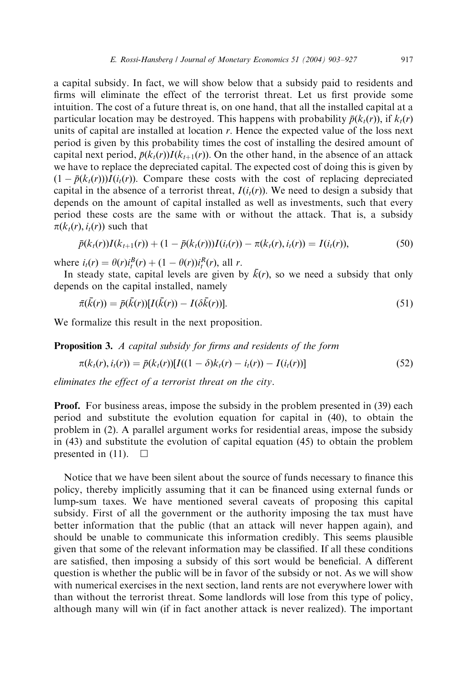a capital subsidy. In fact, we will show below that a subsidy paid to residents and firms will eliminate the effect of the terrorist threat. Let us first provide some intuition. The cost of a future threat is, on one hand, that all the installed capital at a particular location may be destroyed. This happens with probability  $\bar{p}(k_t(r))$ , if  $k_t(r)$ units of capital are installed at location  $r$ . Hence the expected value of the loss next period is given by this probability times the cost of installing the desired amount of capital next period,  $\bar{p}(k_t(r))I(k_{t+1}(r))$ . On the other hand, in the absence of an attack we have to replace the depreciated capital. The expected cost of doing this is given by  $(1 - \bar{p}(k_t(r)))I(i_t(r))$ . Compare these costs with the cost of replacing depreciated capital in the absence of a terrorist threat,  $I(i_t(r))$ . We need to design a subsidy that depends on the amount of capital installed as well as investments, such that every period these costs are the same with or without the attack. That is, a subsidy  $\pi(k_t(r), i_t(r))$  such that

$$
\bar{p}(k_t(r))I(k_{t+1}(r)) + (1 - \bar{p}(k_t(r)))I(i_t(r)) - \pi(k_t(r), i_t(r)) = I(i_t(r)),
$$
\n(50)

where  $i_t(r) = \theta(r)i_t^B(r) + (1 - \theta(r))i_t^B(r)$ , all r.

In steady state, capital levels are given by  $\overline{k}(r)$ , so we need a subsidy that only depends on the capital installed, namely

$$
\bar{\pi}(\bar{k}(r)) = \bar{p}(\bar{k}(r))[I(\bar{k}(r)) - I(\delta \bar{k}(r))].
$$
\n(51)

We formalize this result in the next proposition.

Proposition 3. A capital subsidy for firms and residents of the form

$$
\pi(k_t(r), i_t(r)) = \bar{p}(k_t(r))[I((1-\delta)k_t(r) - i_t(r)) - I(i_t(r))]
$$
\n(52)

eliminates the effect of a terrorist threat on the city.

**Proof.** For business areas, impose the subsidy in the problem presented in (39) each period and substitute the evolution equation for capital in (40), to obtain the problem in (2). A parallel argument works for residential areas, impose the subsidy in (43) and substitute the evolution of capital equation (45) to obtain the problem presented in (11).  $\Box$ 

Notice that we have been silent about the source of funds necessary to finance this policy, thereby implicitly assuming that it can be financed using external funds or lump-sum taxes. We have mentioned several caveats of proposing this capital subsidy. First of all the government or the authority imposing the tax must have better information that the public (that an attack will never happen again), and should be unable to communicate this information credibly. This seems plausible given that some of the relevant information may be classified. If all these conditions are satisfied, then imposing a subsidy of this sort would be beneficial. A different question is whether the public will be in favor of the subsidy or not. As we will show with numerical exercises in the next section, land rents are not everywhere lower with than without the terrorist threat. Some landlords will lose from this type of policy, although many will win (if in fact another attack is never realized). The important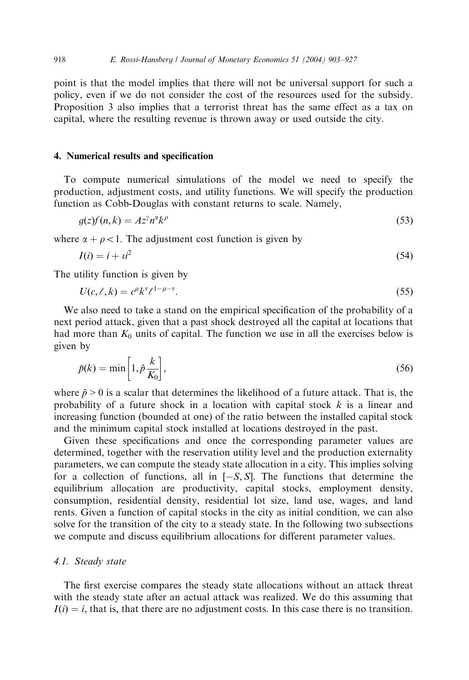point is that the model implies that there will not be universal support for such a policy, even if we do not consider the cost of the resources used for the subsidy. Proposition 3 also implies that a terrorist threat has the same effect as a tax on capital, where the resulting revenue is thrown away or used outside the city.

# 4. Numerical results and specification

To compute numerical simulations of the model we need to specify the production, adjustment costs, and utility functions. We will specify the production function as Cobb-Douglas with constant returns to scale. Namely,

$$
g(z)f(n,k) = Az^{\gamma}n^{\alpha}k^{\rho}
$$
\n(53)

where  $\alpha + \rho < 1$ . The adjustment cost function is given by

$$
I(i) = i + ii^2 \tag{54}
$$

The utility function is given by

$$
U(c, \ell, k) = c^{\mu} k^{\nu} \ell^{1 - \mu - \nu}.
$$
\n(55)

We also need to take a stand on the empirical specification of the probability of a next period attack, given that a past shock destroyed all the capital at locations that had more than  $K_0$  units of capital. The function we use in all the exercises below is given by

$$
\bar{p}(k) = \min\left[1, \hat{p}\frac{k}{K_0}\right],\tag{56}
$$

where  $\hat{p} > 0$  is a scalar that determines the likelihood of a future attack. That is, the probability of a future shock in a location with capital stock  $k$  is a linear and increasing function (bounded at one) of the ratio between the installed capital stock and the minimum capital stock installed at locations destroyed in the past.

Given these specifications and once the corresponding parameter values are determined, together with the reservation utility level and the production externality parameters, we can compute the steady state allocation in a city. This implies solving for a collection of functions, all in  $[-S, S]$ . The functions that determine the equilibrium allocation are productivity, capital stocks, employment density, consumption, residential density, residential lot size, land use, wages, and land rents. Given a function of capital stocks in the city as initial condition, we can also solve for the transition of the city to a steady state. In the following two subsections we compute and discuss equilibrium allocations for different parameter values.

## 4.1. Steady state

The first exercise compares the steady state allocations without an attack threat with the steady state after an actual attack was realized. We do this assuming that  $I(i) = i$ , that is, that there are no adjustment costs. In this case there is no transition.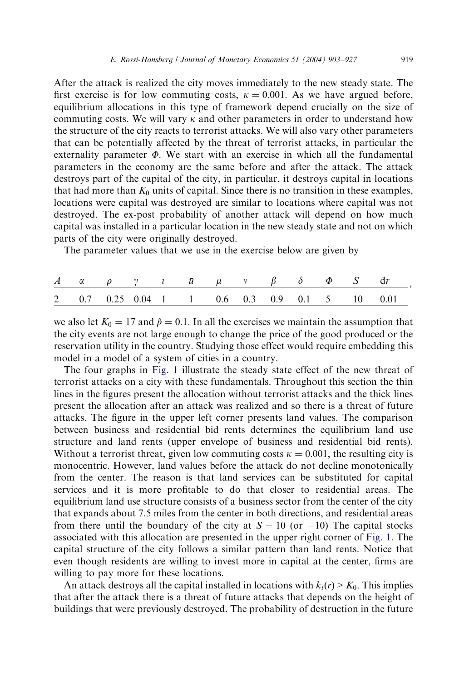After the attack is realized the city moves immediately to the new steady state. The first exercise is for low commuting costs,  $\kappa = 0.001$ . As we have argued before, equilibrium allocations in this type of framework depend crucially on the size of commuting costs. We will vary  $\kappa$  and other parameters in order to understand how the structure of the city reacts to terrorist attacks. We will also vary other parameters that can be potentially affected by the threat of terrorist attacks, in particular the externality parameter  $\Phi$ . We start with an exercise in which all the fundamental parameters in the economy are the same before and after the attack. The attack destroys part of the capital of the city, in particular, it destroys capital in locations that had more than  $K_0$  units of capital. Since there is no transition in these examples, locations were capital was destroyed are similar to locations where capital was not destroyed. The ex-post probability of another attack will depend on how much capital was installed in a particular location in the new steady state and not on which parts of the city were originally destroyed.

The parameter values that we use in the exercise below are given by

|  |  | $A \quad \alpha \quad \rho \quad \gamma \quad \iota \quad \bar{u} \quad \mu \quad \nu \quad \beta \quad \delta \quad \Phi \quad S \quad dr \quad ,$ |  |  |  |  |
|--|--|-----------------------------------------------------------------------------------------------------------------------------------------------------|--|--|--|--|
|  |  | 2  0.7  0.25  0.04  1  1  0.6  0.3  0.9  0.1  5  10  0.01                                                                                           |  |  |  |  |

we also let  $K_0 = 17$  and  $\hat{p} = 0.1$ . In all the exercises we maintain the assumption that the city events are not large enough to change the price of the good produced or the reservation utility in the country. Studying those effect would require embedding this model in a model of a system of cities in a country.

The four graphs in [Fig. 1](#page-17-0) illustrate the steady state effect of the new threat of terrorist attacks on a city with these fundamentals. Throughout this section the thin lines in the figures present the allocation without terrorist attacks and the thick lines present the allocation after an attack was realized and so there is a threat of future attacks. The figure in the upper left corner presents land values. The comparison between business and residential bid rents determines the equilibrium land use structure and land rents (upper envelope of business and residential bid rents). Without a terrorist threat, given low commuting costs  $\kappa = 0.001$ , the resulting city is monocentric. However, land values before the attack do not decline monotonically from the center. The reason is that land services can be substituted for capital services and it is more profitable to do that closer to residential areas. The equilibrium land use structure consists of a business sector from the center of the city that expands about 7.5 miles from the center in both directions, and residential areas from there until the boundary of the city at  $S = 10$  (or  $-10$ ) The capital stocks associated with this allocation are presented in the upper right corner of [Fig. 1](#page-17-0). The capital structure of the city follows a similar pattern than land rents. Notice that even though residents are willing to invest more in capital at the center, firms are willing to pay more for these locations.

An attack destroys all the capital installed in locations with  $k_t(r) > K_0$ . This implies that after the attack there is a threat of future attacks that depends on the height of buildings that were previously destroyed. The probability of destruction in the future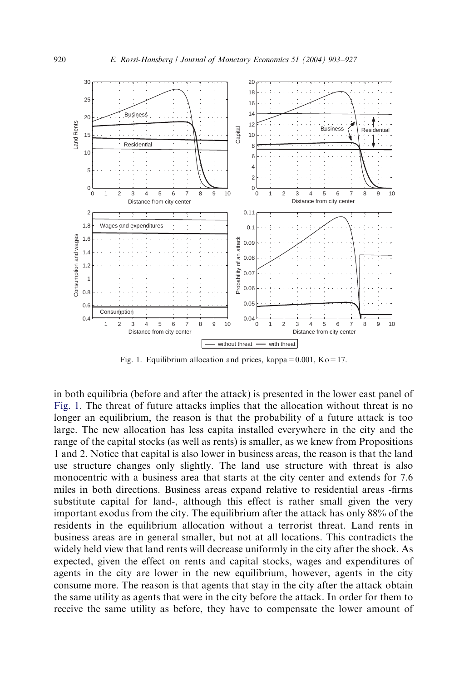<span id="page-17-0"></span>

Fig. 1. Equilibrium allocation and prices, kappa=0.001,  $Ko = 17$ .

in both equilibria (before and after the attack) is presented in the lower east panel of Fig. 1. The threat of future attacks implies that the allocation without threat is no longer an equilibrium, the reason is that the probability of a future attack is too large. The new allocation has less capita installed everywhere in the city and the range of the capital stocks (as well as rents) is smaller, as we knew from Propositions 1 and 2. Notice that capital is also lower in business areas, the reason is that the land use structure changes only slightly. The land use structure with threat is also monocentric with a business area that starts at the city center and extends for 7.6 miles in both directions. Business areas expand relative to residential areas -firms substitute capital for land-, although this effect is rather small given the very important exodus from the city. The equilibrium after the attack has only 88% of the residents in the equilibrium allocation without a terrorist threat. Land rents in business areas are in general smaller, but not at all locations. This contradicts the widely held view that land rents will decrease uniformly in the city after the shock. As expected, given the effect on rents and capital stocks, wages and expenditures of agents in the city are lower in the new equilibrium, however, agents in the city consume more. The reason is that agents that stay in the city after the attack obtain the same utility as agents that were in the city before the attack. In order for them to receive the same utility as before, they have to compensate the lower amount of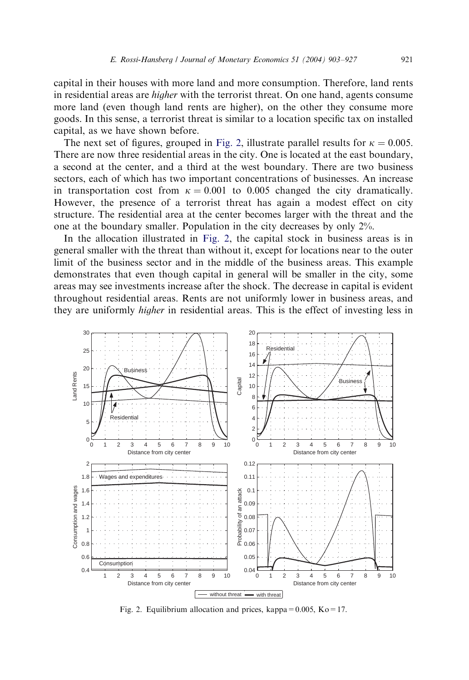<span id="page-18-0"></span>capital in their houses with more land and more consumption. Therefore, land rents in residential areas are higher with the terrorist threat. On one hand, agents consume more land (even though land rents are higher), on the other they consume more goods. In this sense, a terrorist threat is similar to a location specific tax on installed capital, as we have shown before.

The next set of figures, grouped in Fig. 2, illustrate parallel results for  $\kappa = 0.005$ . There are now three residential areas in the city. One is located at the east boundary, a second at the center, and a third at the west boundary. There are two business sectors, each of which has two important concentrations of businesses. An increase in transportation cost from  $\kappa = 0.001$  to 0.005 changed the city dramatically. However, the presence of a terrorist threat has again a modest effect on city structure. The residential area at the center becomes larger with the threat and the one at the boundary smaller. Population in the city decreases by only 2%:

In the allocation illustrated in Fig. 2, the capital stock in business areas is in general smaller with the threat than without it, except for locations near to the outer limit of the business sector and in the middle of the business areas. This example demonstrates that even though capital in general will be smaller in the city, some areas may see investments increase after the shock. The decrease in capital is evident throughout residential areas. Rents are not uniformly lower in business areas, and they are uniformly higher in residential areas. This is the effect of investing less in



Fig. 2. Equilibrium allocation and prices, kappa=0.005,  $K_0 = 17$ .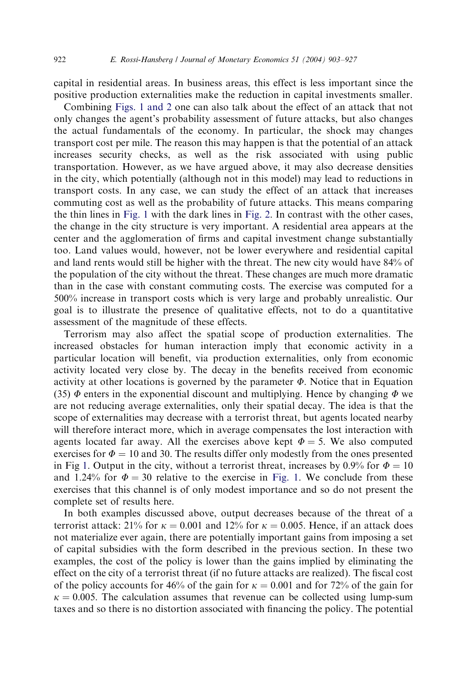capital in residential areas. In business areas, this effect is less important since the positive production externalities make the reduction in capital investments smaller.

Combining [Figs. 1 and 2](#page-17-0) one can also talk about the effect of an attack that not only changes the agent's probability assessment of future attacks, but also changes the actual fundamentals of the economy. In particular, the shock may changes transport cost per mile. The reason this may happen is that the potential of an attack increases security checks, as well as the risk associated with using public transportation. However, as we have argued above, it may also decrease densities in the city, which potentially (although not in this model) may lead to reductions in transport costs. In any case, we can study the effect of an attack that increases commuting cost as well as the probability of future attacks. This means comparing the thin lines in [Fig. 1](#page-17-0) with the dark lines in [Fig. 2.](#page-18-0) In contrast with the other cases, the change in the city structure is very important. A residential area appears at the center and the agglomeration of firms and capital investment change substantially too. Land values would, however, not be lower everywhere and residential capital and land rents would still be higher with the threat. The new city would have 84% of the population of the city without the threat. These changes are much more dramatic than in the case with constant commuting costs. The exercise was computed for a 500% increase in transport costs which is very large and probably unrealistic. Our goal is to illustrate the presence of qualitative effects, not to do a quantitative assessment of the magnitude of these effects.

Terrorism may also affect the spatial scope of production externalities. The increased obstacles for human interaction imply that economic activity in a particular location will benefit, via production externalities, only from economic activity located very close by. The decay in the benefits received from economic activity at other locations is governed by the parameter  $\Phi$ . Notice that in Equation (35)  $\Phi$  enters in the exponential discount and multiplying. Hence by changing  $\Phi$  we are not reducing average externalities, only their spatial decay. The idea is that the scope of externalities may decrease with a terrorist threat, but agents located nearby will therefore interact more, which in average compensates the lost interaction with agents located far away. All the exercises above kept  $\Phi = 5$ . We also computed exercises for  $\Phi = 10$  and 30. The results differ only modestly from the ones presented in Fig [1](#page-17-0). Output in the city, without a terrorist threat, increases by 0.9% for  $\Phi = 10$ and 1.24% for  $\Phi = 30$  relative to the exercise in [Fig. 1](#page-17-0). We conclude from these exercises that this channel is of only modest importance and so do not present the complete set of results here.

In both examples discussed above, output decreases because of the threat of a terrorist attack: 21% for  $\kappa = 0.001$  and 12% for  $\kappa = 0.005$ . Hence, if an attack does not materialize ever again, there are potentially important gains from imposing a set of capital subsidies with the form described in the previous section. In these two examples, the cost of the policy is lower than the gains implied by eliminating the effect on the city of a terrorist threat (if no future attacks are realized). The fiscal cost of the policy accounts for 46% of the gain for  $\kappa = 0.001$  and for 72% of the gain for  $k = 0.005$ . The calculation assumes that revenue can be collected using lump-sum taxes and so there is no distortion associated with financing the policy. The potential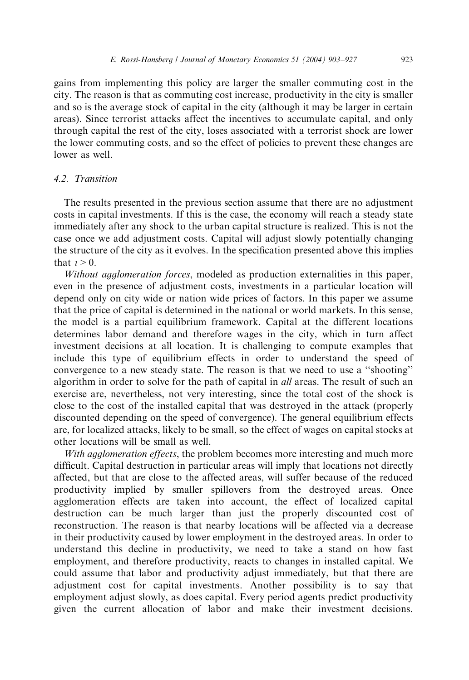gains from implementing this policy are larger the smaller commuting cost in the city. The reason is that as commuting cost increase, productivity in the city is smaller and so is the average stock of capital in the city (although it may be larger in certain areas). Since terrorist attacks affect the incentives to accumulate capital, and only through capital the rest of the city, loses associated with a terrorist shock are lower the lower commuting costs, and so the effect of policies to prevent these changes are lower as well.

## 4.2. Transition

The results presented in the previous section assume that there are no adjustment costs in capital investments. If this is the case, the economy will reach a steady state immediately after any shock to the urban capital structure is realized. This is not the case once we add adjustment costs. Capital will adjust slowly potentially changing the structure of the city as it evolves. In the specification presented above this implies that  $i > 0$ .

Without agglomeration forces, modeled as production externalities in this paper, even in the presence of adjustment costs, investments in a particular location will depend only on city wide or nation wide prices of factors. In this paper we assume that the price of capital is determined in the national or world markets. In this sense, the model is a partial equilibrium framework. Capital at the different locations determines labor demand and therefore wages in the city, which in turn affect investment decisions at all location. It is challenging to compute examples that include this type of equilibrium effects in order to understand the speed of convergence to a new steady state. The reason is that we need to use a ''shooting'' algorithm in order to solve for the path of capital in all areas. The result of such an exercise are, nevertheless, not very interesting, since the total cost of the shock is close to the cost of the installed capital that was destroyed in the attack (properly discounted depending on the speed of convergence). The general equilibrium effects are, for localized attacks, likely to be small, so the effect of wages on capital stocks at other locations will be small as well.

With agglomeration effects, the problem becomes more interesting and much more difficult. Capital destruction in particular areas will imply that locations not directly affected, but that are close to the affected areas, will suffer because of the reduced productivity implied by smaller spillovers from the destroyed areas. Once agglomeration effects are taken into account, the effect of localized capital destruction can be much larger than just the properly discounted cost of reconstruction. The reason is that nearby locations will be affected via a decrease in their productivity caused by lower employment in the destroyed areas. In order to understand this decline in productivity, we need to take a stand on how fast employment, and therefore productivity, reacts to changes in installed capital. We could assume that labor and productivity adjust immediately, but that there are adjustment cost for capital investments. Another possibility is to say that employment adjust slowly, as does capital. Every period agents predict productivity given the current allocation of labor and make their investment decisions.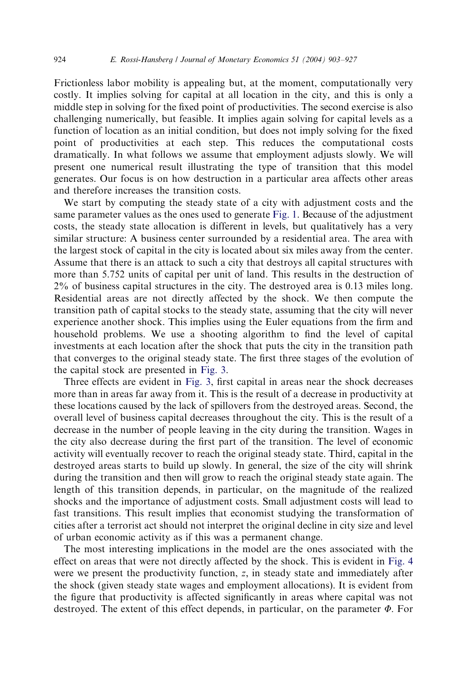Frictionless labor mobility is appealing but, at the moment, computationally very costly. It implies solving for capital at all location in the city, and this is only a middle step in solving for the fixed point of productivities. The second exercise is also challenging numerically, but feasible. It implies again solving for capital levels as a function of location as an initial condition, but does not imply solving for the fixed point of productivities at each step. This reduces the computational costs dramatically. In what follows we assume that employment adjusts slowly. We will present one numerical result illustrating the type of transition that this model generates. Our focus is on how destruction in a particular area affects other areas and therefore increases the transition costs.

We start by computing the steady state of a city with adjustment costs and the same parameter values as the ones used to generate [Fig. 1.](#page-17-0) Because of the adjustment costs, the steady state allocation is different in levels, but qualitatively has a very similar structure: A business center surrounded by a residential area. The area with the largest stock of capital in the city is located about six miles away from the center. Assume that there is an attack to such a city that destroys all capital structures with more than 5.752 units of capital per unit of land. This results in the destruction of 2% of business capital structures in the city. The destroyed area is 0.13 miles long. Residential areas are not directly affected by the shock. We then compute the transition path of capital stocks to the steady state, assuming that the city will never experience another shock. This implies using the Euler equations from the firm and household problems. We use a shooting algorithm to find the level of capital investments at each location after the shock that puts the city in the transition path that converges to the original steady state. The first three stages of the evolution of the capital stock are presented in [Fig. 3.](#page-22-0)

Three effects are evident in [Fig. 3,](#page-22-0) first capital in areas near the shock decreases more than in areas far away from it. This is the result of a decrease in productivity at these locations caused by the lack of spillovers from the destroyed areas. Second, the overall level of business capital decreases throughout the city. This is the result of a decrease in the number of people leaving in the city during the transition. Wages in the city also decrease during the first part of the transition. The level of economic activity will eventually recover to reach the original steady state. Third, capital in the destroyed areas starts to build up slowly. In general, the size of the city will shrink during the transition and then will grow to reach the original steady state again. The length of this transition depends, in particular, on the magnitude of the realized shocks and the importance of adjustment costs. Small adjustment costs will lead to fast transitions. This result implies that economist studying the transformation of cities after a terrorist act should not interpret the original decline in city size and level of urban economic activity as if this was a permanent change.

The most interesting implications in the model are the ones associated with the effect on areas that were not directly affected by the shock. This is evident in [Fig. 4](#page-23-0) were we present the productivity function,  $z$ , in steady state and immediately after the shock (given steady state wages and employment allocations). It is evident from the figure that productivity is affected significantly in areas where capital was not destroyed. The extent of this effect depends, in particular, on the parameter  $\Phi$ . For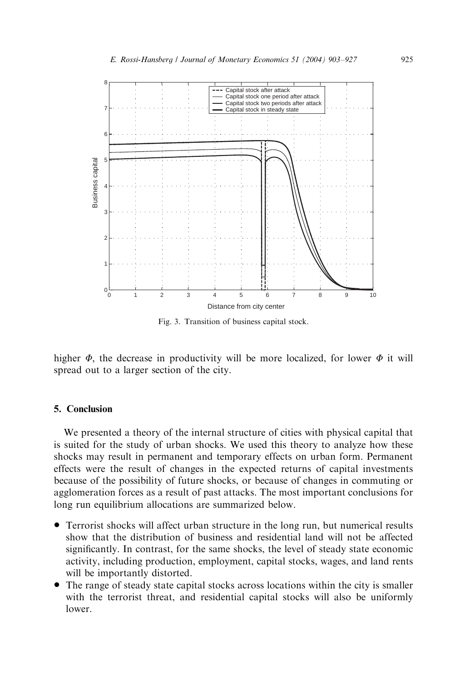<span id="page-22-0"></span>

Fig. 3. Transition of business capital stock.

higher  $\Phi$ , the decrease in productivity will be more localized, for lower  $\Phi$  it will spread out to a larger section of the city.

## 5. Conclusion

We presented a theory of the internal structure of cities with physical capital that is suited for the study of urban shocks. We used this theory to analyze how these shocks may result in permanent and temporary effects on urban form. Permanent effects were the result of changes in the expected returns of capital investments because of the possibility of future shocks, or because of changes in commuting or agglomeration forces as a result of past attacks. The most important conclusions for long run equilibrium allocations are summarized below.

- Terrorist shocks will affect urban structure in the long run, but numerical results show that the distribution of business and residential land will not be affected significantly. In contrast, for the same shocks, the level of steady state economic activity, including production, employment, capital stocks, wages, and land rents will be importantly distorted.
- The range of steady state capital stocks across locations within the city is smaller with the terrorist threat, and residential capital stocks will also be uniformly lower.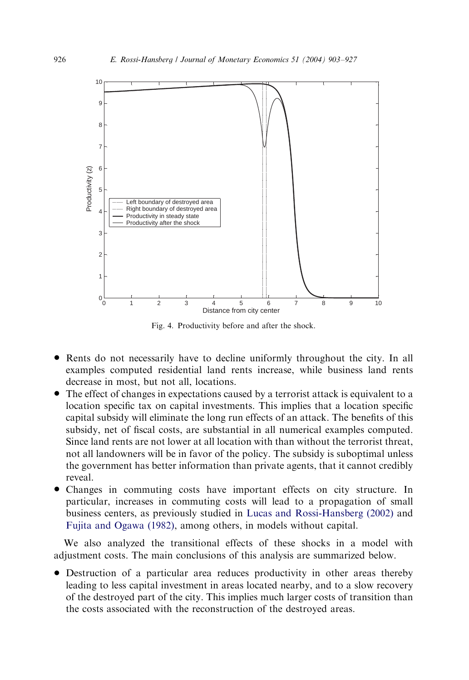<span id="page-23-0"></span>

Fig. 4. Productivity before and after the shock.

- Rents do not necessarily have to decline uniformly throughout the city. In all examples computed residential land rents increase, while business land rents decrease in most, but not all, locations.
- The effect of changes in expectations caused by a terrorist attack is equivalent to a location specific tax on capital investments. This implies that a location specific capital subsidy will eliminate the long run effects of an attack. The benefits of this subsidy, net of fiscal costs, are substantial in all numerical examples computed. Since land rents are not lower at all location with than without the terrorist threat, not all landowners will be in favor of the policy. The subsidy is suboptimal unless the government has better information than private agents, that it cannot credibly reveal.
- Changes in commuting costs have important effects on city structure. In particular, increases in commuting costs will lead to a propagation of small business centers, as previously studied in [Lucas and Rossi-Hansberg \(2002\)](#page-24-0) and [Fujita and Ogawa \(1982\)](#page-24-0), among others, in models without capital.

We also analyzed the transitional effects of these shocks in a model with adjustment costs. The main conclusions of this analysis are summarized below.

• Destruction of a particular area reduces productivity in other areas thereby leading to less capital investment in areas located nearby, and to a slow recovery of the destroyed part of the city. This implies much larger costs of transition than the costs associated with the reconstruction of the destroyed areas.